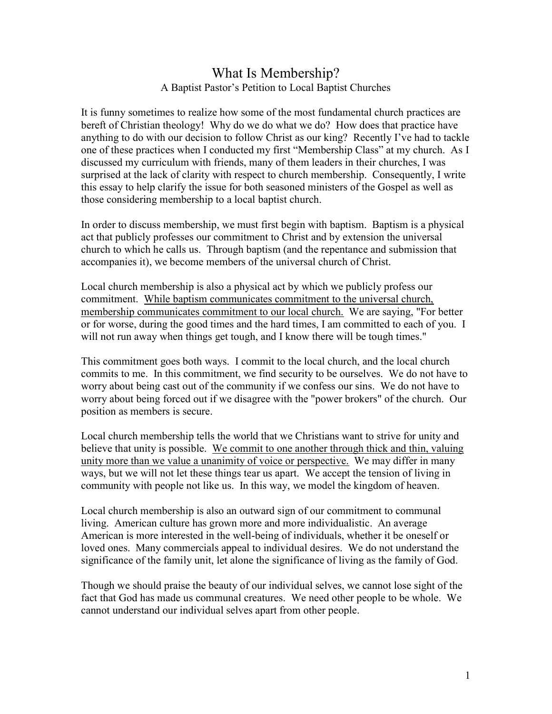## What Is Membership? A Baptist Pastor's Petition to Local Baptist Churches

It is funny sometimes to realize how some of the most fundamental church practices are bereft of Christian theology! Why do we do what we do? How does that practice have anything to do with our decision to follow Christ as our king? Recently I've had to tackle one of these practices when I conducted my first "Membership Class" at my church. As I discussed my curriculum with friends, many of them leaders in their churches, I was surprised at the lack of clarity with respect to church membership. Consequently, I write this essay to help clarify the issue for both seasoned ministers of the Gospel as well as those considering membership to a local baptist church.

In order to discuss membership, we must first begin with baptism. Baptism is a physical act that publicly professes our commitment to Christ and by extension the universal church to which he calls us. Through baptism (and the repentance and submission that accompanies it), we become members of the universal church of Christ.

Local church membership is also a physical act by which we publicly profess our commitment. While baptism communicates commitment to the universal church, membership communicates commitment to our local church. We are saying, "For better or for worse, during the good times and the hard times, I am committed to each of you. I will not run away when things get tough, and I know there will be tough times."

This commitment goes both ways. I commit to the local church, and the local church commits to me. In this commitment, we find security to be ourselves. We do not have to worry about being cast out of the community if we confess our sins. We do not have to worry about being forced out if we disagree with the "power brokers" of the church. Our position as members is secure.

Local church membership tells the world that we Christians want to strive for unity and believe that unity is possible. We commit to one another through thick and thin, valuing unity more than we value a unanimity of voice or perspective. We may differ in many ways, but we will not let these things tear us apart. We accept the tension of living in community with people not like us. In this way, we model the kingdom of heaven.

Local church membership is also an outward sign of our commitment to communal living. American culture has grown more and more individualistic. An average American is more interested in the well-being of individuals, whether it be oneself or loved ones. Many commercials appeal to individual desires. We do not understand the significance of the family unit, let alone the significance of living as the family of God.

Though we should praise the beauty of our individual selves, we cannot lose sight of the fact that God has made us communal creatures. We need other people to be whole. We cannot understand our individual selves apart from other people.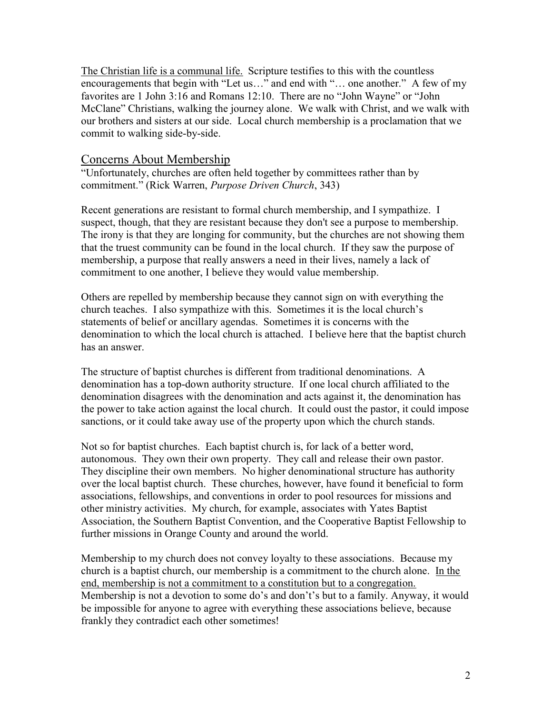The Christian life is a communal life. Scripture testifies to this with the countless encouragements that begin with "Let us..." and end with "... one another." A few of my favorites are 1 John 3:16 and Romans 12:10. There are no "John Wayne" or "John McClane" Christians, walking the journey alone. We walk with Christ, and we walk with our brothers and sisters at our side. Local church membership is a proclamation that we commit to walking side-by-side.

## Concerns About Membership

"Unfortunately, churches are often held together by committees rather than by commitment." (Rick Warren, Purpose Driven Church, 343)

Recent generations are resistant to formal church membership, and I sympathize. I suspect, though, that they are resistant because they don't see a purpose to membership. The irony is that they are longing for community, but the churches are not showing them that the truest community can be found in the local church. If they saw the purpose of membership, a purpose that really answers a need in their lives, namely a lack of commitment to one another, I believe they would value membership.

Others are repelled by membership because they cannot sign on with everything the church teaches. I also sympathize with this. Sometimes it is the local church's statements of belief or ancillary agendas. Sometimes it is concerns with the denomination to which the local church is attached. I believe here that the baptist church has an answer.

The structure of baptist churches is different from traditional denominations. A denomination has a top-down authority structure. If one local church affiliated to the denomination disagrees with the denomination and acts against it, the denomination has the power to take action against the local church. It could oust the pastor, it could impose sanctions, or it could take away use of the property upon which the church stands.

Not so for baptist churches. Each baptist church is, for lack of a better word, autonomous. They own their own property. They call and release their own pastor. They discipline their own members. No higher denominational structure has authority over the local baptist church. These churches, however, have found it beneficial to form associations, fellowships, and conventions in order to pool resources for missions and other ministry activities. My church, for example, associates with Yates Baptist Association, the Southern Baptist Convention, and the Cooperative Baptist Fellowship to further missions in Orange County and around the world.

Membership to my church does not convey loyalty to these associations. Because my church is a baptist church, our membership is a commitment to the church alone. In the end, membership is not a commitment to a constitution but to a congregation. Membership is not a devotion to some do's and don't's but to a family. Anyway, it would be impossible for anyone to agree with everything these associations believe, because frankly they contradict each other sometimes!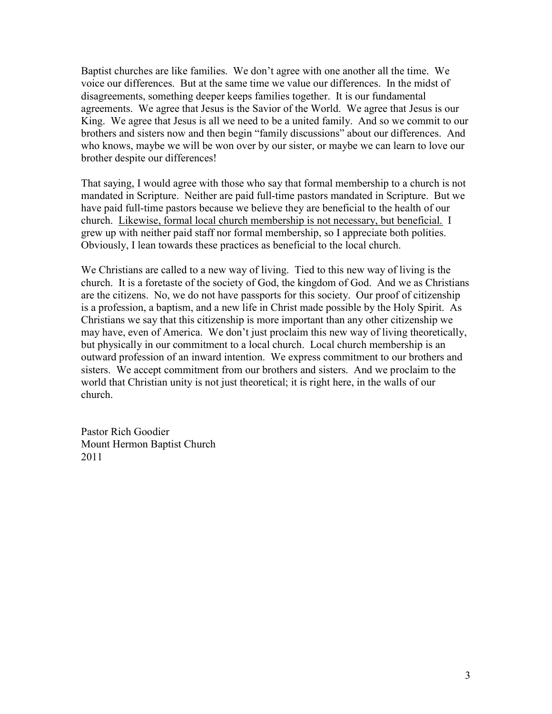Baptist churches are like families. We don't agree with one another all the time. We voice our differences. But at the same time we value our differences. In the midst of disagreements, something deeper keeps families together. It is our fundamental agreements. We agree that Jesus is the Savior of the World. We agree that Jesus is our King. We agree that Jesus is all we need to be a united family. And so we commit to our brothers and sisters now and then begin "family discussions" about our differences. And who knows, maybe we will be won over by our sister, or maybe we can learn to love our brother despite our differences!

That saying, I would agree with those who say that formal membership to a church is not mandated in Scripture. Neither are paid full-time pastors mandated in Scripture. But we have paid full-time pastors because we believe they are beneficial to the health of our church. Likewise, formal local church membership is not necessary, but beneficial. I grew up with neither paid staff nor formal membership, so I appreciate both polities. Obviously, I lean towards these practices as beneficial to the local church.

We Christians are called to a new way of living. Tied to this new way of living is the church. It is a foretaste of the society of God, the kingdom of God. And we as Christians are the citizens. No, we do not have passports for this society. Our proof of citizenship is a profession, a baptism, and a new life in Christ made possible by the Holy Spirit. As Christians we say that this citizenship is more important than any other citizenship we may have, even of America. We don't just proclaim this new way of living theoretically, but physically in our commitment to a local church. Local church membership is an outward profession of an inward intention. We express commitment to our brothers and sisters. We accept commitment from our brothers and sisters. And we proclaim to the world that Christian unity is not just theoretical; it is right here, in the walls of our church.

Pastor Rich Goodier Mount Hermon Baptist Church 2011